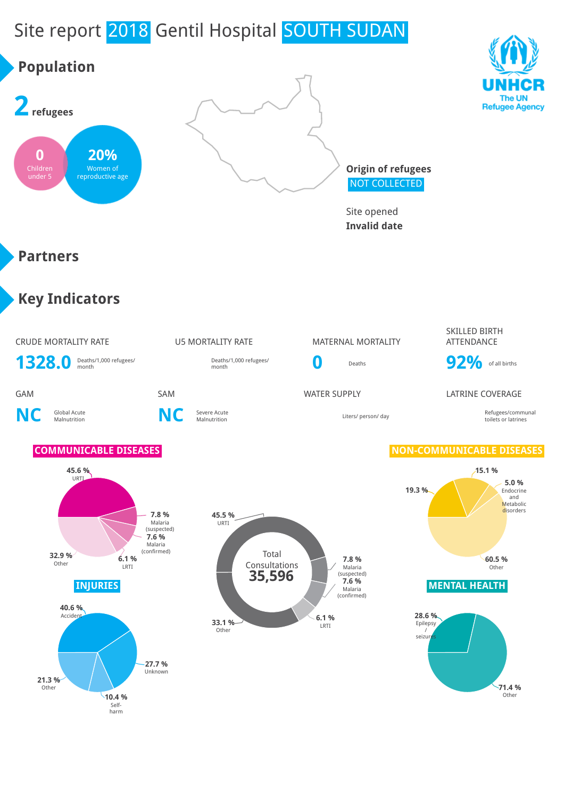# Site report 2018 Gentil Hospital SOUTH SUDAN

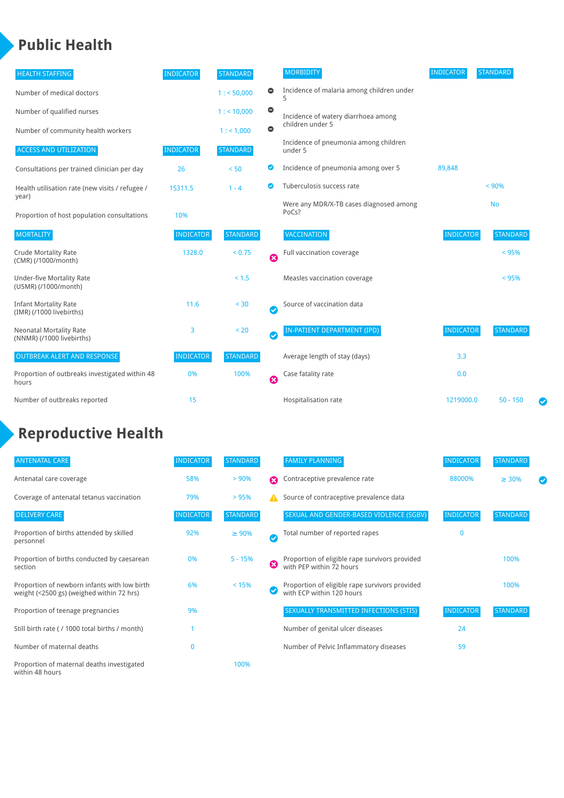### **Public Health**

| <b>HEALTH STAFFING</b>                                      | <b>INDICATOR</b> | <b>STANDARD</b> |                            | <b>MORBIDITY</b>                                 | <b>INDICATOR</b> | <b>STANDARD</b> |
|-------------------------------------------------------------|------------------|-----------------|----------------------------|--------------------------------------------------|------------------|-----------------|
| Number of medical doctors                                   |                  | 1: 50,000       | 0                          | Incidence of malaria among children under        |                  |                 |
| Number of qualified nurses                                  |                  | 1:10,000        | $\bullet$                  | Incidence of watery diarrhoea among              |                  |                 |
| Number of community health workers                          |                  | 1: 1,000        | $\bullet$                  | children under 5                                 |                  |                 |
| <b>ACCESS AND UTILIZATION</b>                               | <b>INDICATOR</b> | <b>STANDARD</b> |                            | Incidence of pneumonia among children<br>under 5 |                  |                 |
| Consultations per trained clinician per day                 | 26               | < 50            | Ø                          | Incidence of pneumonia among over 5              | 89,848           |                 |
| Health utilisation rate (new visits / refugee /             | 15311.5          | $1 - 4$         | $\bullet$                  | Tuberculosis success rate                        |                  | $< 90\%$        |
| year)<br>Proportion of host population consultations        | 10%              |                 |                            | Were any MDR/X-TB cases diagnosed among<br>PoCs? |                  | <b>No</b>       |
| <b>MORTALITY</b>                                            | <b>INDICATOR</b> | <b>STANDARD</b> |                            | VACCINATION                                      | <b>INDICATOR</b> | <b>STANDARD</b> |
| <b>Crude Mortality Rate</b><br>(CMR) (/1000/month)          | 1328.0           | < 0.75          | $\boldsymbol{\Omega}$      | Full vaccination coverage                        |                  | $< 95\%$        |
| <b>Under-five Mortality Rate</b><br>(U5MR) (/1000/month)    |                  | < 1.5           |                            | Measles vaccination coverage                     |                  | $< 95\%$        |
| <b>Infant Mortality Rate</b><br>(IMR) (/1000 livebirths)    | 11.6             | < 30            | $\boldsymbol{\mathcal{S}}$ | Source of vaccination data                       |                  |                 |
| <b>Neonatal Mortality Rate</b><br>(NNMR) (/1000 livebirths) | 3                | < 20            | Ø                          | IN-PATIENT DEPARTMENT (IPD)                      | <b>INDICATOR</b> | <b>STANDARD</b> |
| <b>OUTBREAK ALERT AND RESPONSE</b>                          | <b>INDICATOR</b> | <b>STANDARD</b> |                            | Average length of stay (days)                    | 3.3              |                 |
| Proportion of outbreaks investigated within 48<br>hours     | 0%               | 100%            | $\boldsymbol{\Omega}$      | Case fatality rate                               | 0.0              |                 |
| Number of outbreaks reported                                | 15               |                 |                            | Hospitalisation rate                             | 1219000.0        | $50 - 150$<br>Ø |

## **Reproductive Health**

| <b>ANTENATAL CARE</b>                                                                     | <b>INDICATOR</b> | <b>STANDARD</b> |   | <b>FAMILY PLANNING</b>                                                      | <b>INDICATOR</b> | <b>STANDARD</b> |  |
|-------------------------------------------------------------------------------------------|------------------|-----------------|---|-----------------------------------------------------------------------------|------------------|-----------------|--|
| Antenatal care coverage                                                                   | 58%              | > 90%           | Ω | Contraceptive prevalence rate                                               | 88000%           | $\geq 30\%$     |  |
| Coverage of antenatal tetanus vaccination                                                 | 79%              | > 95%           |   | Source of contraceptive prevalence data                                     |                  |                 |  |
| <b>DELIVERY CARE</b>                                                                      | <b>INDICATOR</b> | <b>STANDARD</b> |   | SEXUAL AND GENDER-BASED VIOLENCE (SGBV)                                     | <b>INDICATOR</b> | <b>STANDARD</b> |  |
| Proportion of births attended by skilled<br>personnel                                     | 92%              | $\geq 90\%$     |   | Total number of reported rapes                                              | $\mathbf{0}$     |                 |  |
| Proportion of births conducted by caesarean<br>section                                    | 0%               | $5 - 15%$       | ೞ | Proportion of eligible rape survivors provided<br>with PEP within 72 hours  |                  | 100%            |  |
| Proportion of newborn infants with low birth<br>weight (<2500 gs) (weighed within 72 hrs) | 6%               | < 15%           |   | Proportion of eligible rape survivors provided<br>with ECP within 120 hours |                  | 100%            |  |
| Proportion of teenage pregnancies                                                         | 9%               |                 |   | SEXUALLY TRANSMITTED INFECTIONS (STIS)                                      | <b>INDICATOR</b> | <b>STANDARD</b> |  |
| Still birth rate (/ 1000 total births / month)                                            |                  |                 |   | Number of genital ulcer diseases                                            | 24               |                 |  |
| Number of maternal deaths                                                                 | 0                |                 |   | Number of Pelvic Inflammatory diseases                                      | 59               |                 |  |
| Proportion of maternal deaths investigated<br>within 48 hours                             |                  | 100%            |   |                                                                             |                  |                 |  |